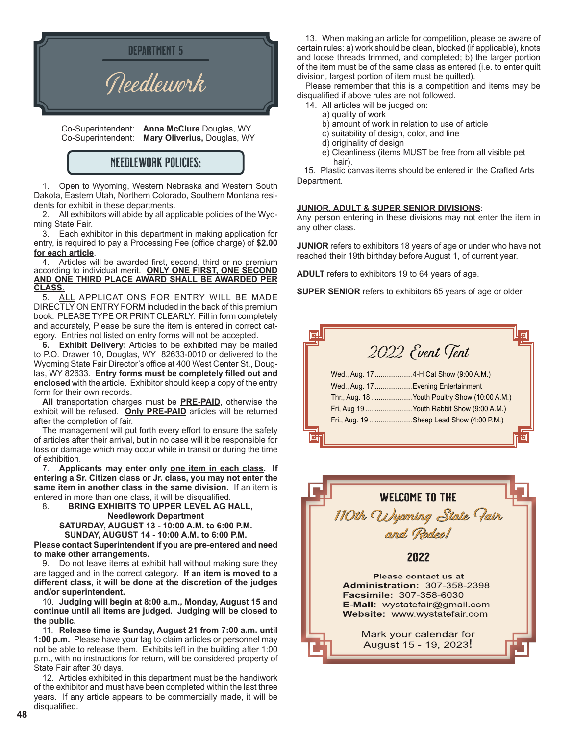

 Co-Superintendent: **Anna McClure** Douglas, WY Co-Superintendent: **Mary Oliverius,** Douglas, WY

### NEEDLEWORK POLICIES:

1. Open to Wyoming, Western Nebraska and Western South Dakota, Eastern Utah, Northern Colorado, Southern Montana residents for exhibit in these departments.

2. All exhibitors will abide by all applicable policies of the Wyoming State Fair.

3. Each exhibitor in this department in making application for entry, is required to pay a Processing Fee (office charge) of **\$2.00 for each article**.

4. Articles will be awarded first, second, third or no premium according to individual merit. **ONLY ONE FIRST, ONE SECOND AND ONE THIRD PLACE AWARD SHALL BE AWARDED PER CLASS**.

ALL APPLICATIONS FOR ENTRY WILL BE MADE DIRECTLY ON ENTRY FORM included in the back of this premium book. PLEASE TYPE OR PRINT CLEARLY. Fill in form completely and accurately, Please be sure the item is entered in correct category. Entries not listed on entry forms will not be accepted.

**6. Exhibit Delivery:** Articles to be exhibited may be mailed to P.O. Drawer 10, Douglas, WY 82633-0010 or delivered to the Wyoming State Fair Director's office at 400 West Center St., Douglas, WY 82633. **Entry forms must be completely filled out and enclosed** with the article. Exhibitor should keep a copy of the entry form for their own records.

**All** transportation charges must be **PRE-PAID**, otherwise the exhibit will be refused. **Only PRE-PAID** articles will be returned after the completion of fair.

The management will put forth every effort to ensure the safety of articles after their arrival, but in no case will it be responsible for loss or damage which may occur while in transit or during the time of exhibition.

7. **Applicants may enter only one item in each class. If entering a Sr. Citizen class or Jr. class, you may not enter the same item in another class in the same division.** If an item is entered in more than one class, it will be disqualified.

8. **BRING EXHIBITS TO UPPER LEVEL AG HALL, Needlework Department**

**SATURDAY, AUGUST 13 - 10:00 A.M. to 6:00 P.M. SUNDAY, AUGUST 14 - 10:00 A.M. to 6:00 P.M.**

**Please contact Superintendent if you are pre-entered and need to make other arrangements.**

9. Do not leave items at exhibit hall without making sure they are tagged and in the correct category. **If an item is moved to a different class, it will be done at the discretion of the judges and/or superintendent.**

10. **Judging will begin at 8:00 a.m., Monday, August 15 and continue until all items are judged. Judging will be closed to the public.**

11. **Release time is Sunday, August 21 from 7:00 a.m. until 1:00 p.m.** Please have your tag to claim articles or personnel may not be able to release them. Exhibits left in the building after 1:00 p.m., with no instructions for return, will be considered property of State Fair after 30 days.

12. Articles exhibited in this department must be the handiwork of the exhibitor and must have been completed within the last three years. If any article appears to be commercially made, it will be disqualified.

13. When making an article for competition, please be aware of certain rules: a) work should be clean, blocked (if applicable), knots and loose threads trimmed, and completed; b) the larger portion of the item must be of the same class as entered (i.e. to enter quilt division, largest portion of item must be quilted).

Please remember that this is a competition and items may be disqualified if above rules are not followed.

- 14. All articles will be judged on:
	- a) quality of work
	- b) amount of work in relation to use of article
	- c) suitability of design, color, and line
	- d) originality of design
	- e) Cleanliness (items MUST be free from all visible pet hair).

15. Plastic canvas items should be entered in the Crafted Arts Department.

#### **JUNIOR, ADULT & SUPER SENIOR DIVISIONS**:

Any person entering in these divisions may not enter the item in any other class.

**JUNIOR** refers to exhibitors 18 years of age or under who have not reached their 19th birthday before August 1, of current year.

**ADULT** refers to exhibitors 19 to 64 years of age.

**SUPER SENIOR** refers to exhibitors 65 years of age or older.

| 2022 Event Tent                               |
|-----------------------------------------------|
|                                               |
| Wed., Aug. 17  Evening Entertainment          |
| Thr., Aug. 18 Youth Poultry Show (10:00 A.M.) |
| Fri, Aug 19 Youth Rabbit Show (9:00 A.M.)     |
| Fri., Aug. 19 Sheep Lead Show (4:00 P.M.)     |
|                                               |

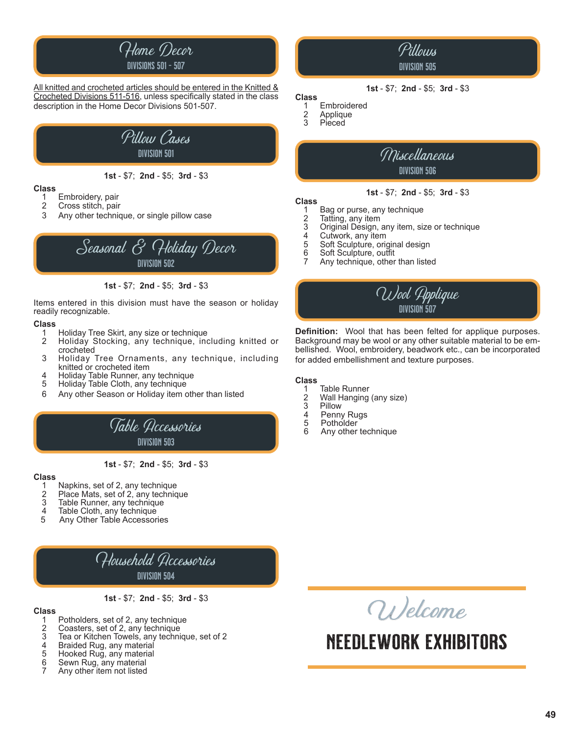

All knitted and crocheted articles should be entered in the Knitted & Crocheted Divisions 511-516, unless specifically stated in the class description in the Home Decor Divisions 501-507.



**1st** - \$7; **2nd** - \$5; **3rd** - \$3

#### **Class**

- 1 Embroidery, pair<br>2 Cross stitch, pair
- Cross stitch, pair
- 3 Any other technique, or single pillow case



**1st** - \$7; **2nd** - \$5; **3rd** - \$3

Items entered in this division must have the season or holiday readily recognizable.

#### **Class**

- 1 Holiday Tree Skirt, any size or technique
- Holiday Stocking, any technique, including knitted or crocheted<br>3 Holiday
- 3 Holiday Tree Ornaments, any technique, including<br>
knitted or crocheted item<br>
4 Holiday Table Runner any technique
- 4 Holiday Table Runner, any technique<br>5 Holiday Table Cloth, any technique
- 5 Holiday Table Cloth, any technique
- 6 Any other Season or Holiday item other than listed



**1st** - \$7; **2nd** - \$5; **3rd** - \$3

### **Class**

- 1 Napkins, set of 2, any technique<br>2 Place Mats, set of 2, any technic
- 2 Place Mats, set of 2, any technique<br>3 Table Runner, any technique
- 3 Table Runner, any technique<br>4 Table Cloth, any technique
- 4 Table Cloth, any technique<br>5 Any Other Table Accessori
- 5 Any Other Table Accessories

Household Accessories division 504

**1st** - \$7; **2nd** - \$5; **3rd** - \$3

- **Class**
	- 1 Potholders, set of 2, any technique<br>2 Coasters, set of 2, any technique
	- 2 Coasters, set of 2, any technique<br>3 Tea or Kitchen Towels, any techni
	- 3 Tea or Kitchen Towels, any technique, set of 2
	- 4 Braided Rug, any material<br>5 Hooked Rug, any material
	- 5 Hooked Rug, any material<br>6 Sewn Rug, any material
	- 6 Sewn Rug, any material 7 Any other item not listed

# Wel<sup>c</sup>om<sup>e</sup>

## Needlework exhibitors

### division 505

Pillows

#### **1st** - \$7; **2nd** - \$5; **3rd** - \$3

### **Class**

- 1 Embroidered<br>2 Applique
- 2 Applique<br>3 Pieced **Pieced**



#### **1st** - \$7; **2nd** - \$5; **3rd** - \$3

### **Class**

- 1 Bag or purse, any technique<br>2 Tatting, any item
- 2 Tatting, any item<br>3 Original Design 3 Original Design, any item, size or technique
- 
- 4 Cutwork, any item<br>5 Soft Sculpture, orig
- 5 Soft Sculpture, original design<br>6 Soft Sculpture, outfit 6 Soft Sculpture, outfit
- Any technique, other than listed



**Definition:** Wool that has been felted for applique purposes. Background may be wool or any other suitable material to be embellished. Wool, embroidery, beadwork etc., can be incorporated for added embellishment and texture purposes.

### **Class**

- 1 Table Runner<br>2 Wall Hanging
- 2 Wall Hanging (any size)
- 3 Pillow<br>4 Penny
- 4 Penny Rugs<br>5 Potholder
- 5 Potholder<br>6 Anv other
- 6 Any other technique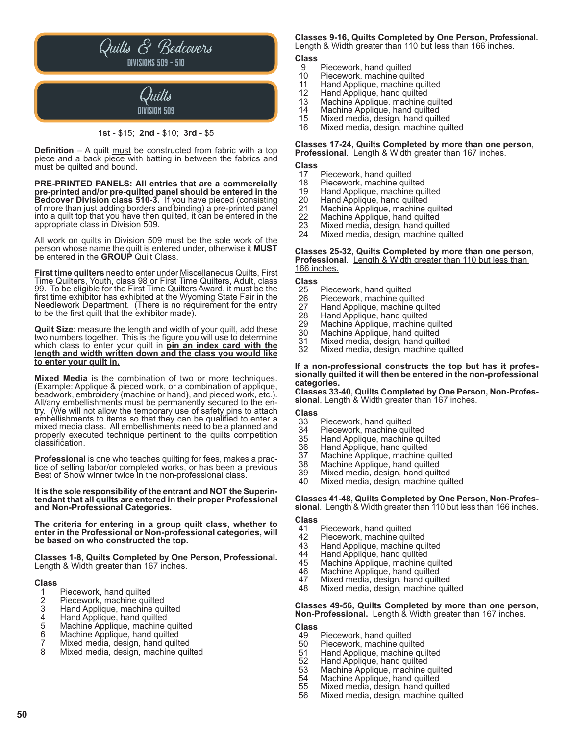

#### **1st** - \$15; **2nd** - \$10; **3rd** - \$5

**Definition** – A quilt must be constructed from fabric with a top piece and a back piece with batting in between the fabrics and must be quilted and bound.

**PRE-PRINTED PANELS: All entries that are a commercially pre-printed and/or pre-quilted panel should be entered in the Bedcover Division class 510-3.** If you have pieced (consisting<br>of more than just adding borders and binding) a pre-printed panel into a quilt top that you have then quilted, it can be entered in the appropriate class in Division 509.

All work on quilts in Division 509 must be the sole work of the person whose name the quilt is entered under, otherwise it **MUST** be entered in the **GROUP** Quilt Class.

**First time quilters** need to enter under Miscellaneous Quilts, First Time Quilters, Youth, class 98 or First Time Quilters, Adult, class 99. To be eligible for the First Time Quilters Award, it must be the first time exhibitor has exhibited at the Wyoming State Fair in the Needlework Department. (There is no requirement for the entry to be the first quilt that the exhibitor made).

**Quilt Size**: measure the length and width of your quilt, add these two numbers together. This is the figure you will use to determine which class to enter your quilt in **pin an index card with the length and width written down and the class you would like to enter your quilt in.**

**Mixed Media** is the combination of two or more techniques. (Example: Applique & pieced work, or a combination of applique, beadwork, embroidery {machine or hand}, and pieced work, etc.). try. (We will not allow the temporary use of safety pins to attach embellishments to items so that they can be qualified to enter a mixed media class. All embellishments need to be a planned and properly executed technique pertinent to the quilts competition classification.

**Professional** is one who teaches quilting for fees, makes a prac- tice of selling labor/or completed works, or has been a previous Best of Show winner twice in the non-professional class.

**It is the sole responsibility of the entrant and NOT the Superin- tendant that all quilts are entered in their proper Professional and Non-Professional Categories.**

**The criteria for entering in a group quilt class, whether to enter in the Professional or Non-professional categories, will be based on who constructed the top.**

**Classes 1-8, Quilts Completed by One Person, Professional.** Length & Width greater than 167 inches.

### **Class**

- 1 Piecework, hand quilted<br>2 Piecework, machine quil
- 2 Piecework, machine quilted<br>3 Hand Applique, machine qui<br>4 Hand Applique, hand quilted
- Hand Applique, machine quilted
- 4 Hand Applique, hand quilted<br>5 Machine Applique, machine
- 5 Machine Applique, machine quilted<br>6 Machine Applique, hand quilted
- 6 Machine Applique, hand quilted
- 7 Mixed media, design, hand quilted
- Mixed media, design, machine quilted

#### **Classes 9-16, Quilts Completed by One Person, Professional.** Length & Width greater than 110 but less than 166 inches.

## **Class**

- 9 Piecework, hand quilted<br>10 Piecework, machine quil
- 
- 10 Piecework, machine quilted<br>11 Hand Applique, machine qui 11 Hand Applique, machine quilted<br>12 Hand Applique, hand quilted
- 12 Hand Applique, hand quilted<br>13 Machine Applique, machine
- 13 Machine Applique, machine quilted
- 14 Machine Applique, hand quilted<br>15 Mixed media, design, hand quilt
- 15 Mixed media, design, hand quilted
- Mixed media, design, machine quilted

## **Classes 17-24, Quilts Completed by more than one person**, **Professional**. Length & Width greater than 167 inches.

### **Class**

- 17 Piecework, hand quilted<br>18 Piecework, machine quil
- 18 Piecework, machine quilted<br>19 Hand Applique, machine qui
- 19 Hand Applique, machine quilted
- 20 Hand Applique, hand quilted
- 21 Machine Applique, machine quilted<br>22 Machine Applique, hand quilted<br>23 Mixed media, design, hand quilted
- Machine Applique, hand quilted
- 23 Mixed media, design, hand quilted
- Mixed media, design, machine quilted

#### **Classes 25-32, Quilts Completed by more than one person**, **Professional**.Length & Width greater than 110 but less than <u>166 inches.</u>

- **Class**
- 25 Piecework, hand quilted<br>26 Piecework, machine quil
- 26 Piecework, machine quilted<br>27 Hand Applique, machine qu
- 27 Hand Applique, machine quilted<br>28 Hand Applique, hand quilted
- 28 Hand Applique, hand quilted
- 29 Machine Applique, machine quilted<br>30 Machine Applique, hand quilted
- 30 Machine Applique, hand quilted
- 31 Mixed media, design, hand quilted Mixed media, design, machine quilted

### **If a non-professional constructs the top but has it profes- sionally quilted it will then be entered in the non-professional categories.**

**Classes 33-40, Quilts Completed by One Person, Non-Profes**sional. Length & Width greater than 167 inches.

### **Class**

- 33 Piecework, hand quilted<br>34 Piecework, machine quil
- 34 Piecework, machine quilted<br>35 Hand Applique, machine qui
- 35 Hand Applique, machine quilted
- 36 Hand Applique, hand quilted<br>37 Machine Applique, machine o
- 37 Machine Applique, machine quilted
- 38 Machine Applique, hand quilted<br>39 Mixed media, design, hand quilt
- 39 Mixed media, design, hand quilted
- Mixed media, design, machine quilted

#### **Classes 41-48, Quilts Completed by One Person, Non-Professional**. Length & Width greater than 110 but less than 166 inches.

**Class**

- 41 Piecework, hand quilted<br>42 Piecework, machine quil
- 42 Piecework, machine quilted<br>43 Hand Applique, machine qui
- 43 Hand Applique, machine quilted<br>44 Hand Applique, hand quilted
- 44 Hand Applique, hand quilted<br>45 Machine Applique, machine
- 45 Machine Applique, machine quilted<br>46 Machine Applique, hand quilted
- 46 Machine Applique, hand quilted<br>47 Mixed media, design, hand quilt
- 47 Mixed media, design, hand quilted
- Mixed media, design, machine quilted

#### **Classes 49-56, Quilts Completed by more than one person, Non-Professional.** Length & Width greater than 167 inches.

### **Class**

- 49 Piecework, hand quilted<br>50 Piecework, machine quil
- 50 Piecework, machine quilted<br>51 Hand Applique, machine qui
- 51 Hand Applique, machine quilted
- 52 Hand Applique, hand quilted
- 53 Machine Applique, machine quilted<br>54 Machine Applique, hand quilted
- 54 Machine Applique, hand quilted<br>55 Mixed media, design, hand quilt
- 55 Mixed media, design, hand quilted
- Mixed media, design, machine quilted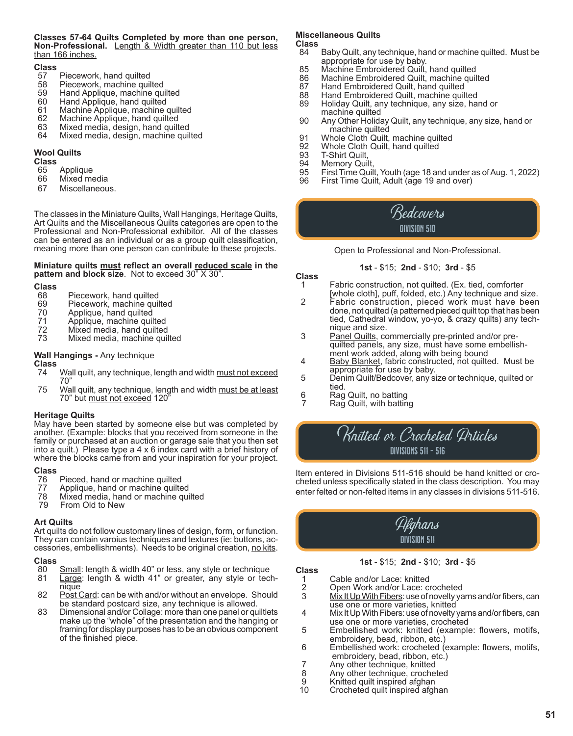#### **Classes 57-64 Quilts Completed by more than one person, Non-Professional.** Length & Width greater than 110 but less than 166 inches.

### **Class**

- 57 Piecework, hand quilted<br>58 Piecework, machine quil
- 58 Piecework, machine quilted<br>59 Hand Applique, machine qu
- 59 Hand Applique, machine quilted
- 60 Hand Applique, hand quilted
- 61 Machine Applique, machine quilted<br>62 Machine Applique, hand quilted
- 62 Machine Applique, hand quilted
- 63 Mixed media, design, hand quilted
- Mixed media, design, machine quilted

#### **Wool Quilts**

**Class**

- 65 Applique
- Mixed media
- 67 Miscellaneous.

The classes in the Miniature Quilts, Wall Hangings, Heritage Quilts, Art Quilts and the Miscellaneous Quilts categories are open to the Professional and Non-Professional exhibitor. All of the classes can be entered as an individual or as a group quilt classification, meaning more than one person can contribute to these projects.

#### **Miniature quilts must reflect an overall reduced scale in the pattern and block size**. Not to exceed 30" X 30".

### **Class**

- 68 Piecework, hand quilted<br>69 Piecework, machine quil
- 69 Piecework, machine quilted<br>70 Applique, hand quilted
- 70 Applique, hand quilted<br>71 Applique, machine quil
- 71 Applique, machine quilted<br>72 Mixed media, hand quilted
- 72 Mixed media, hand quilted<br>73 Mixed media, machine quil
- Mixed media, machine quilted

#### **Wall Hangings -** Any technique

- 
- **Class** Wall quilt, any technique, length and width must not exceed 70"<br>75 Wa
- Wall quilt, any technique, length and width must be at least 70" but must not exceed 120"

#### **Heritage Quilts**

May have been started by someone else but was completed by another. (Example: blocks that you received from someone in the family or purchased at an auction or garage sale that you then set into a quilt.) Please type a 4 x 6 index card with a brief history of where the blocks came from and your inspiration for your project.

- **Class** 76 Pieced, hand or machine quilted<br>77 Applique, hand or machine quilte
- 
- 77 Applique, hand or machine quilted<br>78 Mixed media, hand or machine qui 78 Mixed media, hand or machine quilted
- From Old to New

#### **Art Quilts**

Art quilts do not follow customary lines of design, form, or function.<br>They can contain varoius techniques and textures (ie: buttons, accessories, embellishments). Needs to be original creation, no kits.

### **Class**

- 80 Small: length & width 40" or less, any style or technique<br>81 Large: length & width 41" or greater, any style or tec
- 81 Large: length & width 41" or greater, any style or tech-<br>hique<br>82 Post Card: can be with and/or without an envelope. Should
- be standard postcard size, any technique is allowed.<br>83 Dimensional and/or Collage: more than one panel or gu
- 83 Dimensional and/or Collage: more than one panel or quiltlets make up the "whole" of the presentation and the hanging or framing for display purposes has to be an obvious component of the finished piece.

#### **Miscellaneous Quilts**

### **Class**

- Baby Quilt, any technique, hand or machine quilted. Must be appropriate for use by baby.<br>.85 Machine Embroidered Quilt
- 85 Machine Embroidered Quilt, hand quilted<br>86 Machine Embroidered Quilt, machine quil
- 86 Machine Embroidered Quilt, machine quilted<br>87 Hand Embroidered Quilt, hand quilted
- 87 Hand Embroidered Quilt, hand quilted<br>88 Hand Embroidered Quilt, machine quil
- 88 Hand Embroidered Quilt, machine quilted<br>89 Holiday Quilt, any technique, any size, ha
- Holiday Quilt, any technique, any size, hand or machine quilted<br>90 Any Other Holida
- Any Other Holiday Quilt, any technique, any size, hand or machine quilted<br>.91 Whole Cloth Quilt
- 91 Whole Cloth Quilt, machine quilted<br>92 Whole Cloth Quilt, hand quilted
- 92 Whole Cloth Quilt, hand quilted<br>93 T-Shirt Quilt,
- 93 T-Shirt Quilt,<br>94 Memory Quil
- 94 Memory Quilt,
- 95 First Time Quilt, Youth (age 18 and under as of Aug. 1, 2022)
- First Time Quilt, Adult (age 19 and over)

### Bedcovers division 510

Open to Professional and Non-Professional.

#### **1st** - \$15; **2nd** - \$10; **3rd** - \$5

**Class**

- Fabric construction, not quilted. (Ex. tied, comforter
- [whole cloth], puff, folded, etc.) Any technique and size. 2 Fabric construction, pieced work must have been done, not quilted (a patterned pieced quilt top that has been tied, Cathedral window, yo-yo, & crazy quilts) any tech nique and size.<br>3 Panel Quilts, co
- Panel Quilts, commercially pre-printed and/or pre quilted panels, any size, must have some embellish ment work added, along with being bound
- 4 Baby Blanket, fabric constructed, not quilted. Must be appropriate for use by baby.
- 5 Denim Quilt/Bedcover, any size or technique, quilted or
- tied.<br>6 Rag Rag Quilt, no batting
- Rag Quilt, with batting

### Knitted or Crocheted Articles divisions 511 - 516

Item entered in Divisions 511-516 should be hand knitted or crocheted unless specifically stated in the class description. You may enter felted or non-felted items in any classes in divisions 511-516.

> Afghans division 511

#### **1st** - \$15; **2nd** - \$10; **3rd** - \$5

1 Cable and/or Lace: knitted<br>2 Open Work and/or Lace: ci

**Class**

- 2 Open Work and/or Lace: crocheted<br>3 Mix It Up With Fibers: use of novelty ya
- Mix It Up With Fibers: use of novelty yarns and/or fibers, can use one or more varieties, knitted<br>Mix It Up With Fibers: use of novelty
- 4 Mix It Up With Fibers: use of novelty yarns and/or fibers, can<br>use one or more varieties, crocheted<br>5 Embellished work: knitted (example: flowers, motifs,
- 5 Embellished work: knitted (example: flowers, motifs, embroidery, bead, ribbon, etc.)
- 6 Embellished work: crocheted (example: flowers, motifs, embroidery, bead, ribbon, etc.)
- 7 Any other technique, knitted<br>8 Any other technique, croche
- 8 Any other technique, crocheted<br>9 Knitted guilt inspired afghan
- 9 Knitted quilt inspired afghan<br>10 Crocheted quilt inspired afgh
- Crocheted quilt inspired afghan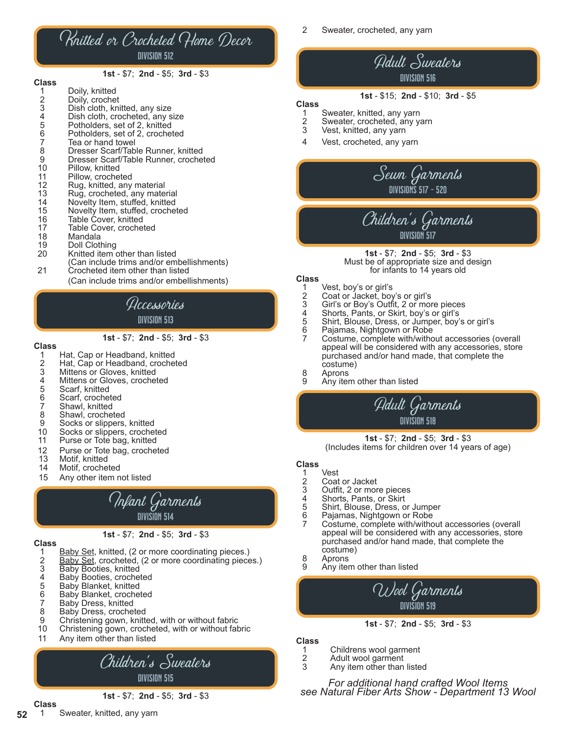### Knitted or Crocheted Home Decor division 512

#### **1st** - \$7; **2nd** - \$5; **3rd** - \$3

| ulass |                |
|-------|----------------|
|       | Doily, knitted |
| 2     | Doily, crochet |
|       | .              |

**Class**

- 3 Dish cloth, knitted, any size<br>4 Dish cloth, crocheted, any s
- 4 Dish cloth, crocheted, any size<br>5 Potholders, set of 2, knitted
- 
- 5 Potholders, set of 2, knitted<br>6 Potholders, set of 2, crochet<br>7 Tea or hand towel Potholders, set of 2, crocheted
- 7 Tea or hand towel<br>8 Dresser Scarf/Tab
- 8 Dresser Scarf/Table Runner, knitted<br>9 Dresser Scarf/Table Runner, croche 9 Dresser Scarf/Table Runner, crocheted<br>10 Pillow, knitted
- 
- 10 Pillow, knitted<br>11 Pillow, crochet
- 11 Pillow, crocheted<br>12 Rug, knitted, any
- 12 Rug, knitted, any material<br>13 Rug, crocheted, any mater
- 13 Rug, crocheted, any material<br>14 Novelty Item, stuffed, knitted 14 Novelty Item, stuffed, knitted<br>15 Novelty Item, stuffed, croche
- 15 Novelty Item, stuffed, crocheted
- 16 Table Cover, knitted
- 17 Table Cover, crocheted<br>18 Mandala
- 
- 18 Mandala<br>19 Doll Clotl
- 19 Doll Clothing<br>20 Knitted item Knitted item other than listed
- (Can include trims and/or embellishments) 21 Crocheted item other than listed
	- (Can include trims and/or embellishments)

### Accessories division 513

#### **1st** - \$7; **2nd** - \$5; **3rd** - \$3

### **Class**

- 1 Hat, Cap or Headband, knitted<br>2 Hat, Cap or Headband, croche
- 2 Hat, Cap or Headband, crocheted<br>3 Mittens or Gloves, knitted
- 3 Mittens or Gloves, knitted
- 4 Mittens or Gloves, crocheted<br>5 Scarf, knitted
- 5 Scarf, knitted
- 6 Scarf, crocheted
- 7 Shawl, knitted
- <sup>1</sup><br>8 Shawl, crocheted<br>9 Socks or slippers,
- 9 Socks or slippers, knitted<br>10 Socks or slippers, croche
- Socks or slippers, crocheted
- 11 Purse or Tote bag, knitted
- 12 Purse or Tote bag, crocheted<br>13 Motif, knitted
- 13 Motif, knitted<br>14 Motif, croche
- Motif, crocheted
- 15 Any other item not listed



### **Class**

- **1st**  \$7; **2nd**  \$5; **3rd**  \$3
- 
- 1 Baby Set, knitted, (2 or more coordinating pieces.)<br>2 Baby Set, crocheted, (2 or more coordinating piece 2 Baby Set, crocheted, (2 or more coordinating pieces.)<br>3 Baby Booties, knitted
- 3 Baby Booties, knitted<br>4 Baby Booties, croche
- 4 Baby Booties, crocheted<br>5 Baby Blanket, knitted
- 
- 5 Baby Blanket, knitted<br>6 Baby Blanket, croche 6 Baby Blanket, crocheted<br>7 Baby Dress, knitted
- 7 Baby Dress, knitted<br>8 Baby Dress, croche
- 8 Baby Dress, crocheted<br>9 Christening gown, knitte
- 9 Christening gown, knitted, with or without fabric
- Christening gown, crocheted, with or without fabric
- 11 Any item other than listed

### Children's Sweaters division 515

**1st** - \$7; **2nd** - \$5; **3rd** - \$3

2 Sweater, crocheted, any yarn

### Adult Sweaters division 516

#### **1st** - \$15; **2nd** - \$10; **3rd** - \$5

### **Class**

- 1 Sweater, knitted, any yarn<br>2 Sweater, crocheted, any y
- 2 Sweater, crocheted, any yarn<br>3 Vest. knitted, any yarn Vest, knitted, any yarn
- 4 Vest, crocheted, any yarn

### Sewn Garments divisions 517 - 520

### Children's Garments division 517

**1st** - \$7; **2nd** - \$5; **3rd** - \$3 Must be of appropriate size and design for infants to 14 years old

### **Class**

- 1 Vest, boy's or girl's<br>
2 Coat or Jacket, boy<br>
3 Girl's or Boy's Outfi<br>
4 Shorts, Pants, or S<br>
5 Shirt, Blouse, Dres
- 2 Coat or Jacket, boy's or girl's
- 3 Girl's or Boy's Outfit, 2 or more pieces
- 4 Shorts, Pants, or Skirt, boy's or girl's
- 5 Shirt, Blouse, Dress, or Jumper, boy's or girl's
- 
- Pajamas, Nightgown or Robe<br>Costume, complete with/without accessories (overall appeal will be considered with any accessories, store purchased and/or hand made, that complete the costume)
- 8 Aprons<br>9 Any iter
- Any item other than listed

Adult Garments division 518

**1st** - \$7; **2nd** - \$5; **3rd** - \$3 (Includes items for children over 14 years of age)

### **Class**

- 1 Vest<br>2 Coat
- 2 Coat or Jacket<br>3 Outfit, 2 or mor
- 
- 3 Outfit, 2 or more pieces<br>4 Shorts, Pants, or Skirt<br>5 Shirt, Blouse, Dress, or Shorts, Pants, or Skirt
- 5 Shirt, Blouse, Dress, or Jumper<br>6 Pajamas, Nightgown or Robe
- 
- Pajamas, Nightgown or Robe<br>Costume, complete with/without accessories (overall appeal will be considered with any accessories, store purchased and/or hand made, that complete the costume)
- 8 Aprons
- Any item other than listed



#### **1st** - \$7; **2nd** - \$5; **3rd** - \$3

#### **Class**

- 1 Childrens wool garment<br>2 Adult wool garment
- 2 Adult wool garment<br>3 Any item other than
- Any item other than listed

*For additional hand crafted Wool Items see Natural Fiber Arts Show - Department 13 Wool*

**Class** Sweater, knitted, any yarn

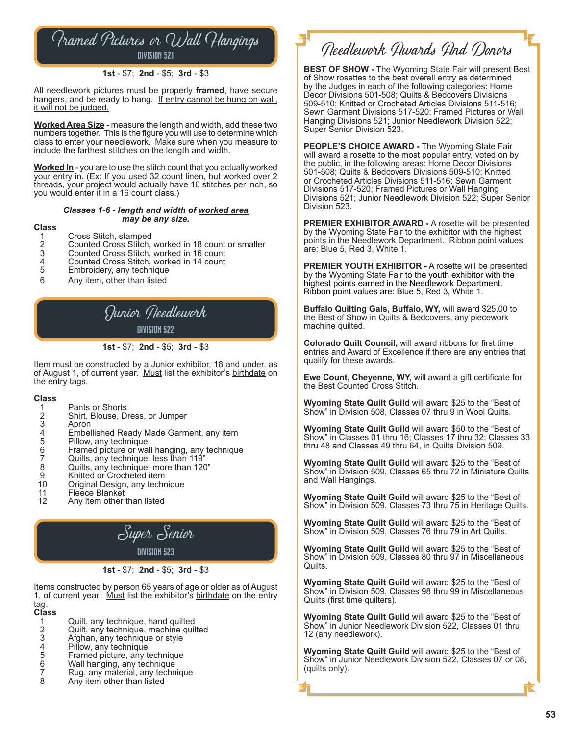Framed Pictures or Wall Hangings division 521

#### **1st** - \$7; **2nd** - \$5; **3rd** - \$3

All needlework pictures must be properly **framed**, have secure hangers, and be ready to hang. If entry cannot be hung on wall, it will not be judged.

**Worked Area Size** - measure the length and width, add these two numbers together. This is the figure you will use to determine which class to enter your needlework. Make sure when you measure to include the farthest stitches on the length and width.

**Worked In** - you are to use the stitch count that you actually worked your entry in. (Ex: If you used 32 count linen, but worked over 2 threads, your project would actually have 16 stitches per inch, so you would enter it in a 16 count class.)

#### *Classes 1-6 - length and width of worked area may be any size.*

#### **Class**

- 1 Cross Stitch, stamped<br>2 Counted Cross Stitch,
- 2 Counted Cross Stitch, worked in 18 count or smaller
- 3 Counted Cross Stitch, worked in 16 count
- 4 Counted Cross Stitch, worked in 14 count<br>5 Embroidery, any technique
- 5 Embroidery, any technique<br>6 Any item, other than listed
- 6 Any item, other than listed

### Junior Needlework division 522

#### **1st** - \$7; **2nd** - \$5; **3rd** - \$3

Item must be constructed by a Junior exhibitor, 18 and under, as of August 1, of current year. Must list the exhibitor's birthdate on the entry tags.

#### **Class**

- 1 Pants or Shorts<br>2 Shirt, Blouse, D
- 2 Shirt, Blouse, Dress, or Jumper
- 3 Apron
- 4 Embellished Ready Made Garment, any item<br>5 Pillow, any technique
- 
- 5 Pillow, any technique<br>6 Framed picture or wa 6 Framed picture or wall hanging, any technique
- 7 Quilts, any technique, less than 119"
- 8 Quilts, any technique, more than 120"<br>9 Knitted or Crocheted item
- 9 Knitted or Crocheted item<br>10 Original Design, any techn
- 10 Original Design, any technique<br>11 Fleece Blanket
- 11 Fleece Blanket<br>12 Any item other
- Any item other than listed



Items constructed by person 65 years of age or older as of August 1, of current year. Must list the exhibitor's birthdate on the entry tag.

- **Class**
- 1 Quilt, any technique, hand quilted<br>2 Quilt, any technique, machine quil
- 2 Quilt, any technique, machine quilted<br>3 Afghan, any technique or style
- 3 Afghan, any technique or style
- 4 Pillow, any technique<br>5 Framed picture, any t
- 5 Framed picture, any technique<br>6 Wall hanging, any technique
- 6 Wall hanging, any technique
- 7 Rug, any material, any technique<br>8 Any item other than listed Any item other than listed

Needlework Awards And Donors

**BEST OF SHOW -** The Wyoming State Fair will present Best of Show rosettes to the best overall entry as determined by the Judges in each of the following categories: Home Decor Divisions 501-508; Quilts & Bedcovers Divisions 509-510; Knitted or Crocheted Articles Divisions 511-516; Sewn Garment Divisions 517-520; Framed Pictures or Wall Hanging Divisions 521; Junior Needlework Division 522; Super Senior Division 523.

**PEOPLE'S CHOICE AWARD -** The Wyoming State Fair will award a rosette to the most popular entry, voted on by the public, in the following areas: Home Decor Divisions 501-508; Quilts & Bedcovers Divisions 509-510; Knitted or Crocheted Articles Divisions 511-516; Sewn Garment Divisions 517-520; Framed Pictures or Wall Hanging Divisions 521; Junior Needlework Division 522; Super Senior Division 523.

**PREMIER EXHIBITOR AWARD -** A rosette will be presented by the Wyoming State Fair to the exhibitor with the highest points in the Needlework Department. Ribbon point values are: Blue 5, Red 3, White 1.

**PREMIER YOUTH EXHIBITOR -** A rosette will be presented by the Wyoming State Fair to the youth exhibitor with the highest points earned in the Needlework Department. Ribbon point values are: Blue 5, Red 3, White 1.

**Buffalo Quilting Gals, Buffalo, WY,** will award \$25.00 to the Best of Show in Quilts & Bedcovers, any piecework machine quilted.

**Colorado Quilt Council,** will award ribbons for first time entries and Award of Excellence if there are any entries that qualify for these awards.

**Ewe Count, Cheyenne, WY,** will award a gift certificate for the Best Counted Cross Stitch.

**Wyoming State Quilt Guild** will award \$25 to the "Best of Show" in Division 508, Classes 07 thru 9 in Wool Quilts.

**Wyoming State Quilt Guild** will award \$50 to the "Best of Show" in Classes 01 thru 16; Classes 17 thru 32; Classes 33 thru 48 and Classes 49 thru 64, in Quilts Division 509.

**Wyoming State Quilt Guild** will award \$25 to the "Best of Show" in Division 509, Classes 65 thru 72 in Miniature Quilts and Wall Hangings.

**Wyoming State Quilt Guild** will award \$25 to the "Best of Show" in Division 509, Classes 73 thru 75 in Heritage Quilts.

**Wyoming State Quilt Guild** will award \$25 to the "Best of Show" in Division 509, Classes 76 thru 79 in Art Quilts.

**Wyoming State Quilt Guild** will award \$25 to the "Best of Show" in Division 509, Classes 80 thru 97 in Miscellaneous Quilts.

**Wyoming State Quilt Guild** will award \$25 to the "Best of Show" in Division 509, Classes 98 thru 99 in Miscellaneous Quilts (first time quilters).

**Wyoming State Quilt Guild** will award \$25 to the "Best of Show" in Junior Needlework Division 522, Classes 01 thru 12 (any needlework).

**Wyoming State Quilt Guild** will award \$25 to the "Best of Show" in Junior Needlework Division 522, Classes 07 or 08, (quilts only).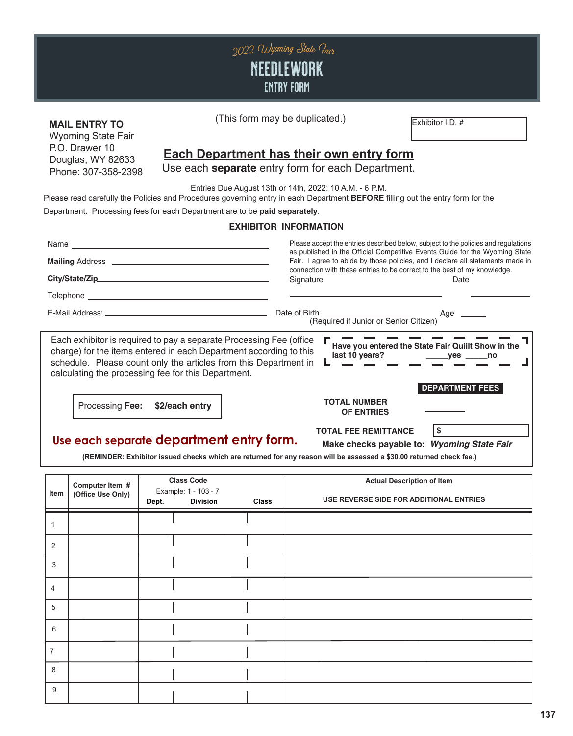

Wyoming State Fair P.O. Drawer 10 Douglas, WY 82633 Phone: 307-358-2398

#### **MAIL ENTRY TO** (This form may be duplicated.) (This form may be duplicated.)

### **Each Department has their own entry form**

Use each **separate** entry form for each Department.

Entries Due August 13th or 14th, 2022: 10 A.M. - 6 P.M.

Please read carefully the Policies and Procedures governing entry in each Department **BEFORE** filling out the entry form for the

Department. Processing fees for each Department are to be **paid separately**.

### **EXHIBITOR INFORMATION**

|                                                                                                                                                                                                                                                                                                                            | Please accept the entries described below, subject to the policies and regulations<br>as published in the Official Competitive Events Guide for the Wyoming State<br>Fair. I agree to abide by those policies, and I declare all statements made in |  |  |  |
|----------------------------------------------------------------------------------------------------------------------------------------------------------------------------------------------------------------------------------------------------------------------------------------------------------------------------|-----------------------------------------------------------------------------------------------------------------------------------------------------------------------------------------------------------------------------------------------------|--|--|--|
|                                                                                                                                                                                                                                                                                                                            |                                                                                                                                                                                                                                                     |  |  |  |
|                                                                                                                                                                                                                                                                                                                            | connection with these entries to be correct to the best of my knowledge.<br>Signature<br>Date                                                                                                                                                       |  |  |  |
|                                                                                                                                                                                                                                                                                                                            |                                                                                                                                                                                                                                                     |  |  |  |
| E-Mail Address: E-Mail Address:                                                                                                                                                                                                                                                                                            | Date of Birth<br>(Required if Junior or Senior Citizen)<br>Age _____                                                                                                                                                                                |  |  |  |
| Each exhibitor is required to pay a separate Processing Fee (office<br>Have you entered the State Fair Quiilt Show in the<br>charge) for the items entered in each Department according to this<br>schedule. Please count only the articles from this Department in<br>calculating the processing fee for this Department. |                                                                                                                                                                                                                                                     |  |  |  |
|                                                                                                                                                                                                                                                                                                                            | <b>DEPARTMENT FEES</b>                                                                                                                                                                                                                              |  |  |  |
| Processing Fee:<br>\$2/each entry                                                                                                                                                                                                                                                                                          | <b>TOTAL NUMBER</b><br><b>OF ENTRIES</b>                                                                                                                                                                                                            |  |  |  |
| Use each separate department entry form.                                                                                                                                                                                                                                                                                   | \$<br><b>TOTAL FEE REMITTANCE</b><br>Make checks payable to: Wyoming State Fair                                                                                                                                                                     |  |  |  |

**(REMINDER: Exhibitor issued checks which are returned for any reason will be assessed a \$30.00 returned check fee.)**

| Item           | Computer Item #<br>(Office Use Only) | <b>Class Code</b><br>Example: 1 - 103 - 7<br><b>Division</b><br>Dept. | Class | <b>Actual Description of Item</b><br>USE REVERSE SIDE FOR ADDITIONAL ENTRIES |
|----------------|--------------------------------------|-----------------------------------------------------------------------|-------|------------------------------------------------------------------------------|
| 1              |                                      |                                                                       |       |                                                                              |
| 2              |                                      |                                                                       |       |                                                                              |
| 3              |                                      |                                                                       |       |                                                                              |
| $\overline{4}$ |                                      |                                                                       |       |                                                                              |
| 5              |                                      |                                                                       |       |                                                                              |
| 6              |                                      |                                                                       |       |                                                                              |
| $\overline{7}$ |                                      |                                                                       |       |                                                                              |
| 8              |                                      |                                                                       |       |                                                                              |
| 9              |                                      |                                                                       |       |                                                                              |